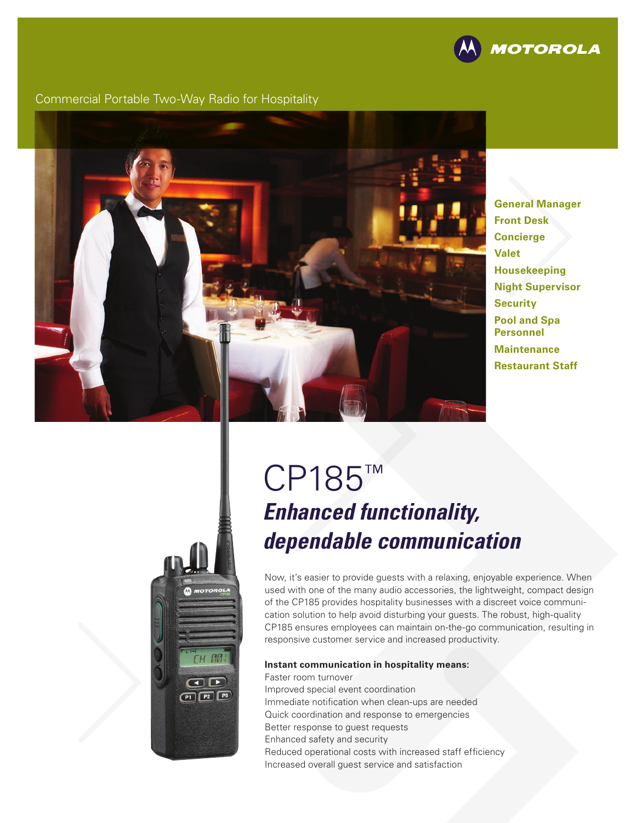

### Commercial Portable Two-Way Radio for Hospitality



**General Manager Front Desk Concierge Valet Housekeeping Night Supervisor Security Pool and Spa Personnel Maintenance Restaurant Staff**

# **HM**  $\bigcirc$  $P1$  $P2$  $P3$

# CP185™ *Enhanced functionality, dependable communication*

Now, it's easier to provide guests with a relaxing, enjoyable experience. When used with one of the many audio accessories, the lightweight, compact design of the CP185 provides hospitality businesses with a discreet voice communication solution to help avoid disturbing your guests. The robust, high-quality CP185 ensures employees can maintain on-the-go communication, resulting in responsive customer service and increased productivity.

#### **Instant communication in hospitality means:**

Faster room turnover Improved special event coordination Immediate notification when clean-ups are needed Quick coordination and response to emergencies Better response to guest requests Enhanced safety and security Reduced operational costs with increased staff efficiency Increased overall guest service and satisfaction